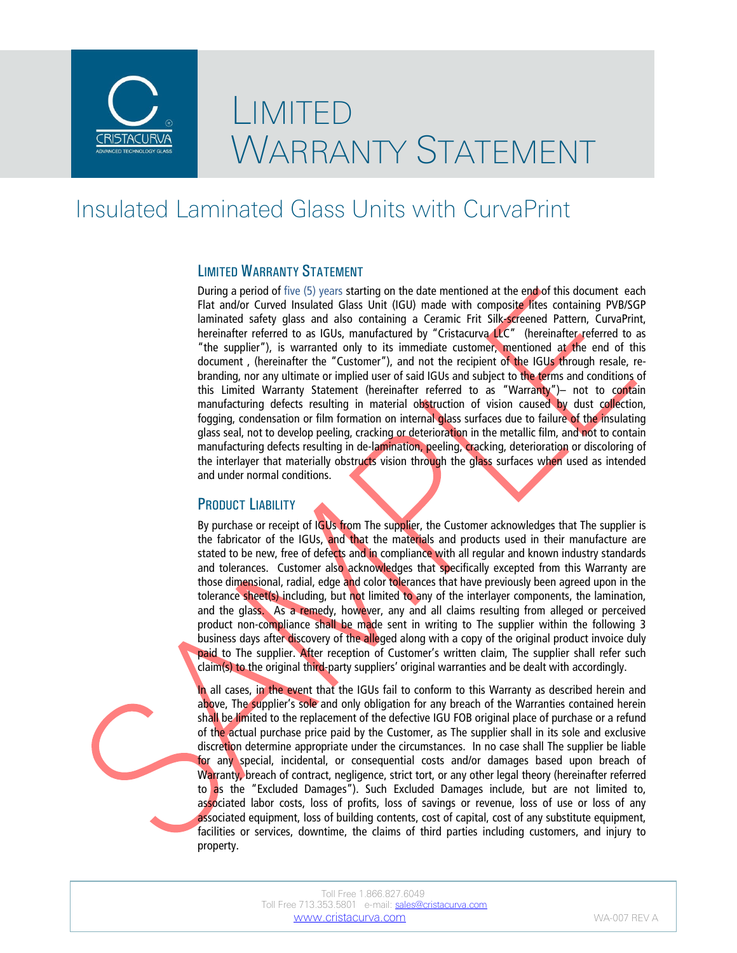

## LIMITED WARRANTY STATEMENT

### Insulated Laminated Glass Units with CurvaPrint

#### LIMITED WARRANTY STATEMENT

During a period of five (5) years starting on the date mentioned at the end of this document each Flat and/or Curved Insulated Glass Unit (IGU) made with composite lites containing PVB/SGP laminated safety glass and also containing a Ceramic Frit Silk-screened Pattern, CurvaPrint, hereinafter referred to as IGUs, manufactured by "Cristacurva LLC" (hereinafter referred to as "the supplier"), is warranted only to its immediate customer, mentioned at the end of this document , (hereinafter the "Customer"), and not the recipient of the IGUs through resale, rebranding, nor any ultimate or implied user of said IGUs and subject to the terms and conditions of this Limited Warranty Statement (hereinafter referred to as "Warranty")– not to contain manufacturing defects resulting in material obstruction of vision caused by dust collection, fogging, condensation or film formation on internal glass surfaces due to failure of the insulating glass seal, not to develop peeling, cracking or deterioration in the metallic film, and not to contain manufacturing defects resulting in de-lamination, peeling, cracking, deterioration or discoloring of the interlayer that materially obstructs vision through the glass surfaces when used as intended and under normal conditions.

#### PRODUCT LIABILITY

By purchase or receipt of IGUs from The supplier, the Customer acknowledges that The supplier is the fabricator of the IGUs, and that the materials and products used in their manufacture are stated to be new, free of defects and in compliance with all regular and known industry standards and tolerances. Customer also acknowledges that specifically excepted from this Warranty are those dimensional, radial, edge and color tolerances that have previously been agreed upon in the tolerance sheet(s) including, but not limited to any of the interlayer components, the lamination, and the glass. As a remedy, however, any and all claims resulting from alleged or perceived product non-compliance shall be made sent in writing to The supplier within the following 3 business days after discovery of the alleged along with a copy of the original product invoice duly paid to The supplier. After reception of Customer's written claim, The supplier shall refer such claim(s) to the original third-party suppliers' original warranties and be dealt with accordingly.

In all cases, in the event that the IGUs fail to conform to this Warranty as described herein and above, The supplier's sole and only obligation for any breach of the Warranties contained herein shall be limited to the replacement of the defective IGU FOB original place of purchase or a refund of the actual purchase price paid by the Customer, as The supplier shall in its sole and exclusive discretion determine appropriate under the circumstances. In no case shall The supplier be liable for any special, incidental, or consequential costs and/or damages based upon breach of Warranty, breach of contract, negligence, strict tort, or any other legal theory (hereinafter referred to as the "Excluded Damages"). Such Excluded Damages include, but are not limited to, associated labor costs, loss of profits, loss of savings or revenue, loss of use or loss of any associated equipment, loss of building contents, cost of capital, cost of any substitute equipment, facilities or services, downtime, the claims of third parties including customers, and injury to property.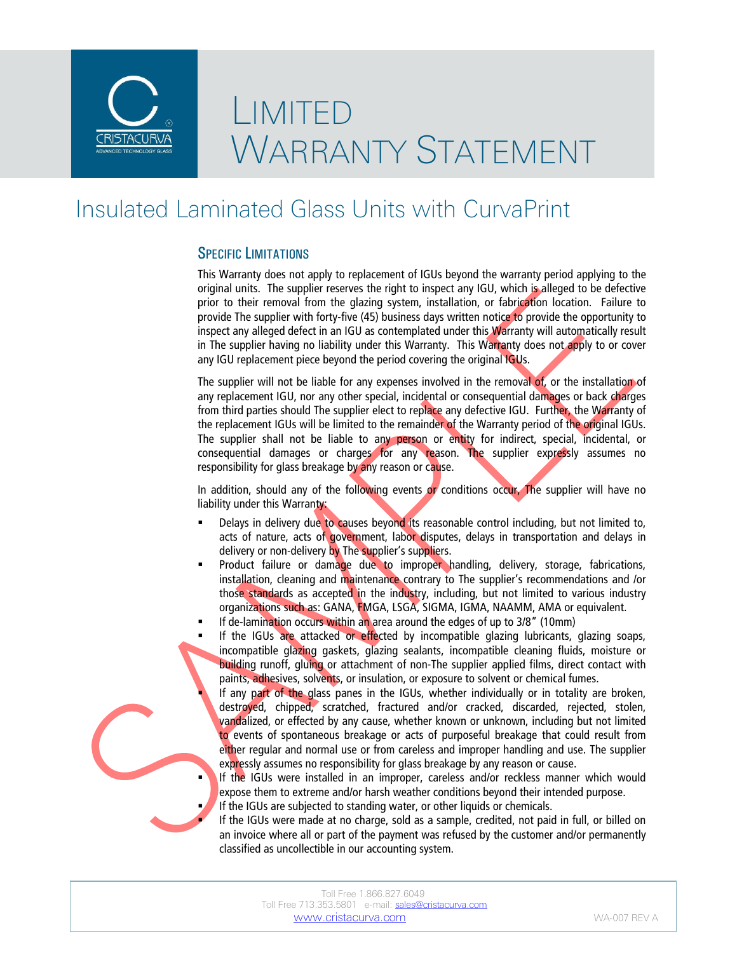

# LIMITED WARRANTY STATEMENT

### Insulated Laminated Glass Units with CurvaPrint

#### SPECIFIC LIMITATIONS

This Warranty does not apply to replacement of IGUs beyond the warranty period applying to the original units. The supplier reserves the right to inspect any IGU, which is alleged to be defective prior to their removal from the glazing system, installation, or fabrication location. Failure to provide The supplier with forty-five (45) business days written notice to provide the opportunity to inspect any alleged defect in an IGU as contemplated under this Warranty will automatically result in The supplier having no liability under this Warranty. This Warranty does not apply to or cover any IGU replacement piece beyond the period covering the original IGUs.

The supplier will not be liable for any expenses involved in the removal of, or the installation of any replacement IGU, nor any other special, incidental or consequential damages or back charges from third parties should The supplier elect to replace any defective IGU. Further, the Warranty of the replacement IGUs will be limited to the remainder of the Warranty period of the original IGUs. The supplier shall not be liable to any person or entity for indirect, special, incidental, or consequential damages or charges for any reason. The supplier expressly assumes no responsibility for glass breakage by any reason or cause.

In addition, should any of the following events or conditions occur, The supplier will have no liability under this Warranty:

- Delays in delivery due to causes beyond its reasonable control including, but not limited to, acts of nature, acts of government, labor disputes, delays in transportation and delays in delivery or non-delivery by The supplier's suppliers.
- Product failure or damage due to improper handling, delivery, storage, fabrications, installation, cleaning and maintenance contrary to The supplier's recommendations and /or those standards as accepted in the industry, including, but not limited to various industry organizations such as: GANA, FMGA, LSGA, SIGMA, IGMA, NAAMM, AMA or equivalent.
- If de-lamination occurs within an area around the edges of up to 3/8" (10mm)
- If the IGUs are attacked or effected by incompatible glazing lubricants, glazing soaps, incompatible glazing gaskets, glazing sealants, incompatible cleaning fluids, moisture or building runoff, gluing or attachment of non-The supplier applied films, direct contact with paints, adhesives, solvents, or insulation, or exposure to solvent or chemical fumes.

If any part of the glass panes in the IGUs, whether individually or in totality are broken, destroyed, chipped, scratched, fractured and/or cracked, discarded, rejected, stolen, vandalized, or effected by any cause, whether known or unknown, including but not limited to events of spontaneous breakage or acts of purposeful breakage that could result from either regular and normal use or from careless and improper handling and use. The supplier expressly assumes no responsibility for glass breakage by any reason or cause.

 If the IGUs were installed in an improper, careless and/or reckless manner which would expose them to extreme and/or harsh weather conditions beyond their intended purpose. If the IGUs are subjected to standing water, or other liquids or chemicals.

 If the IGUs were made at no charge, sold as a sample, credited, not paid in full, or billed on an invoice where all or part of the payment was refused by the customer and/or permanently classified as uncollectible in our accounting system.